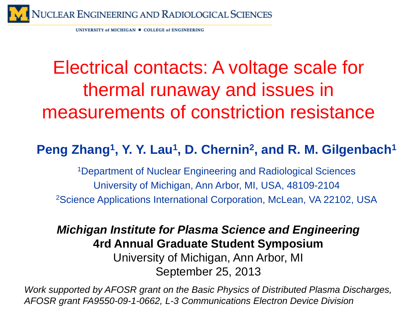

UNIVERSITY of MICHIGAN = COLLEGE of ENGINEERING

## Electrical contacts: A voltage scale for thermal runaway and issues in measurements of constriction resistance

#### Peng Zhang<sup>1</sup>, Y. Y. Lau<sup>1</sup>, D. Chernin<sup>2</sup>, and R. M. Gilgenbach<sup>1</sup>

1Department of Nuclear Engineering and Radiological Sciences University of Michigan, Ann Arbor, MI, USA, 48109-2104 2Science Applications International Corporation, McLean, VA 22102, USA

#### *Michigan Institute for Plasma Science and Engineering* **4rd Annual Graduate Student Symposium**

University of Michigan, Ann Arbor, MI September 25, 2013

*Work supported by AFOSR grant on the Basic Physics of Distributed Plasma Discharges, AFOSR grant FA9550-09-1-0662, L-3 Communications Electron Device Division*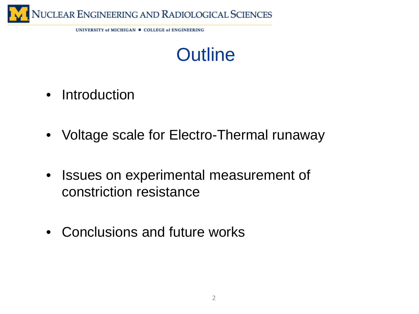

UNIVERSITY of MICHIGAN = COLLEGE of ENGINEERING



- Introduction
- Voltage scale for Electro-Thermal runaway
- Issues on experimental measurement of constriction resistance
- Conclusions and future works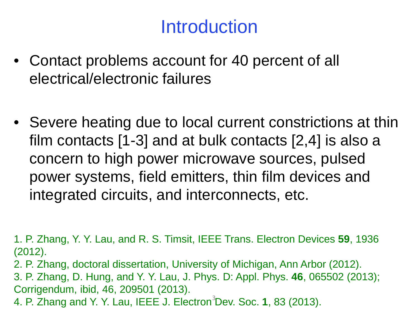#### **Introduction**

- Contact problems account for 40 percent of all electrical/electronic failures
- Severe heating due to local current constrictions at thin film contacts [1-3] and at bulk contacts [2,4] is also a concern to high power microwave sources, pulsed power systems, field emitters, thin film devices and integrated circuits, and interconnects, etc.

1. P. Zhang, Y. Y. Lau, and R. S. Timsit, IEEE Trans. Electron Devices **59**, 1936 (2012).

2. P. Zhang, doctoral dissertation, University of Michigan, Ann Arbor (2012).

3. P. Zhang, D. Hung, and Y. Y. Lau, J. Phys. D: Appl. Phys. **46**, 065502 (2013); Corrigendum, ibid, 46, 209501 (2013).

4. P. Zhang and Y. Y. Lau, IEEE J. Electron<sup>3</sup>Dev. Soc. 1, 83 (2013).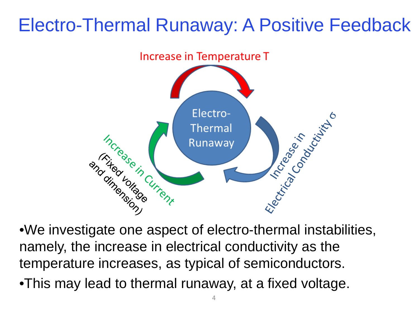#### Electro-Thermal Runaway: A Positive Feedback



namely, the increase in electrical conductivity as the temperature increases, as typical of semiconductors.

•This may lead to thermal runaway, at a fixed voltage.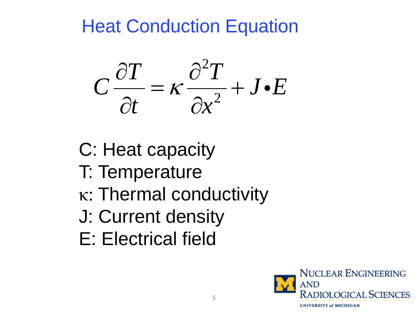

C: Heat capacity

- T: Temperature
- κ: Thermal conductivity
- J: Current density
- E: Electrical field

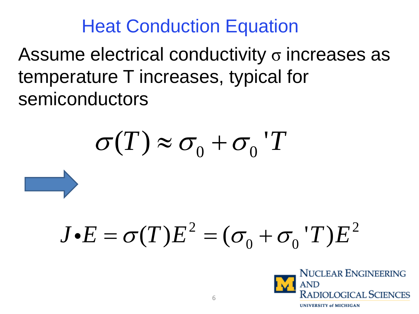Assume electrical conductivity  $\sigma$  increases as temperature T increases, typical for semiconductors

 $\sigma(T) \approx \sigma_0 + \sigma_0$ 'T

# $J\bullet E=\sigma(T)E^2=(\sigma_{0}+\sigma_{0}^{\phantom{\dag}})T E^2$

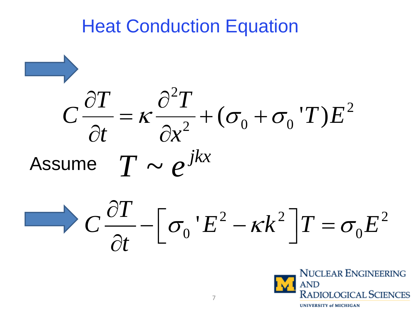

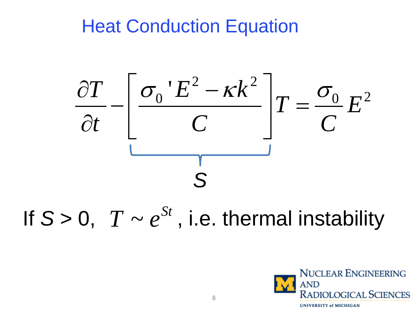

If  $S > 0$ ,  $T \sim e^{St}$ , i.e. thermal instability

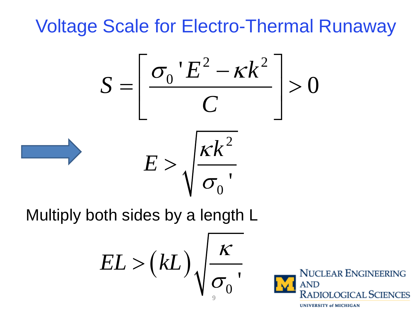$$
S = \left[\frac{\sigma_0 E^2 - \kappa k^2}{C}\right] > 0
$$

$$
E > \sqrt{\frac{\kappa k^2}{\sigma_0}}
$$

Multiply both sides by a length L

$$
EL > (kL) \sqrt{\frac{\kappa}{\sigma_0}}.
$$

**NUCLEAR ENGINEERING** 

**RADIOLOGICAL SCIENCES** 

**UNIVERSITY of MICHIGAN**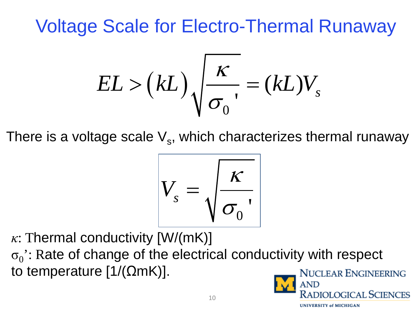$$
EL > (kL) \sqrt{\frac{\kappa}{\sigma_0}} = (kL)V_s
$$

There is a voltage scale  $V_s$ , which characterizes thermal runaway

$$
V_s = \sqrt{\frac{\kappa}{\sigma_0}},
$$

*κ*: Thermal conductivity [W/(mK)]

 $\sigma_0$ : Rate of change of the electrical conductivity with respect to temperature  $[1/(\Omega mK)]$ .

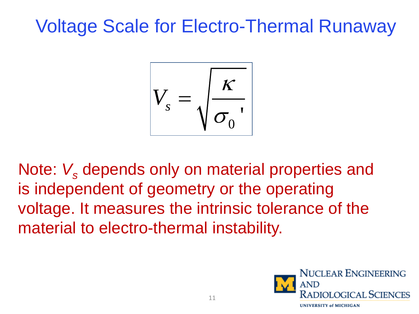

Note: V<sub>s</sub> depends only on material properties and is independent of geometry or the operating voltage. It measures the intrinsic tolerance of the material to electro-thermal instability.

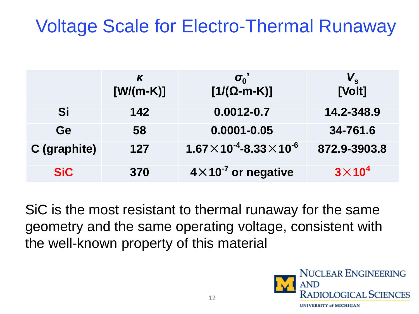|                     | K<br>$[W/(m-K)]$ | $\sigma_0$<br>$[1/(\Omega-m-K)]$          | [Volt]        |
|---------------------|------------------|-------------------------------------------|---------------|
| Si                  | 142              | $0.0012 - 0.7$                            | 14.2-348.9    |
| <b>Ge</b>           | 58               | $0.0001 - 0.05$                           | 34-761.6      |
| <b>C</b> (graphite) | 127              | $1.67\times10^{-4}$ -8.33 $\times10^{-6}$ | 872.9-3903.8  |
| <b>SiC</b>          | 370              | $4 \times 10^{-7}$ or negative            | $3\times10^4$ |

SiC is the most resistant to thermal runaway for the same geometry and the same operating voltage, consistent with the well-known property of this material

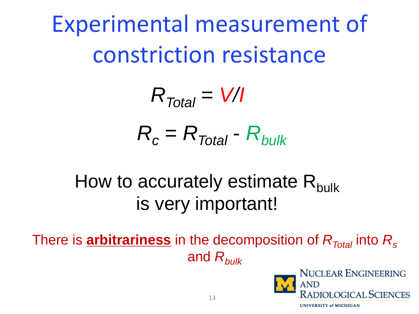Experimental measurement of constriction resistance

> $R_c = R_{Total} - R_{bulk}$  $R_{Total} = \frac{V}{I}$

### How to accurately estimate  $R_{\text{bulk}}$ is very important!

There is **arbitrariness** in the decomposition of *RTotal* into *Rs* and *Rbulk*

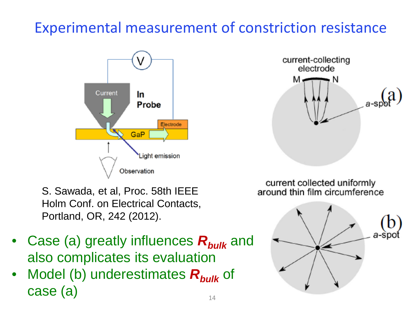#### Experimental measurement of constriction resistance



current-collecting electrode м N

S. Sawada, et al, Proc. 58th IEEE Holm Conf. on Electrical Contacts, Portland, OR, 242 (2012).

- Case (a) greatly influences  $R_{bulk}$  and also complicates its evaluation
- Model (b) underestimates **R**<sub>bulk</sub> of case (a)

current collected uniformly around thin film circumference

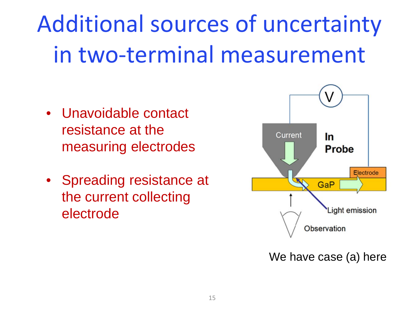## Additional sources of uncertainty in two-terminal measurement

- Unavoidable contact resistance at the measuring electrodes
- Spreading resistance at the current collecting electrode



We have case (a) here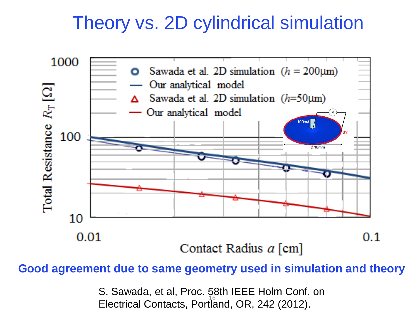#### Theory vs. 2D cylindrical simulation



#### **Good agreement due to same geometry used in simulation and theory**

S. Sawada, et al, Proc. 58th IEEE Holm Conf. on Electrical Contacts, Portland, OR, 242 (2012).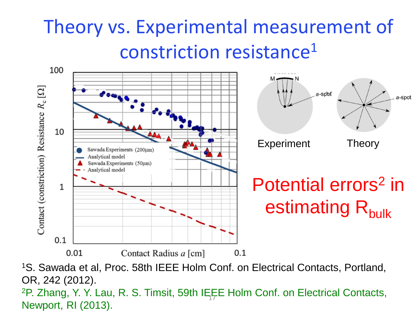## Theory vs. Experimental measurement of constriction resistance1



1S. Sawada et al, Proc. 58th IEEE Holm Conf. on Electrical Contacts, Portland, OR, 242 (2012). <sup>2</sup>P. Zhang, Y. Y. Lau, R. S. Timsit, 59th IEEE Holm Conf. on Electrical Contacts, Newport, RI (2013).